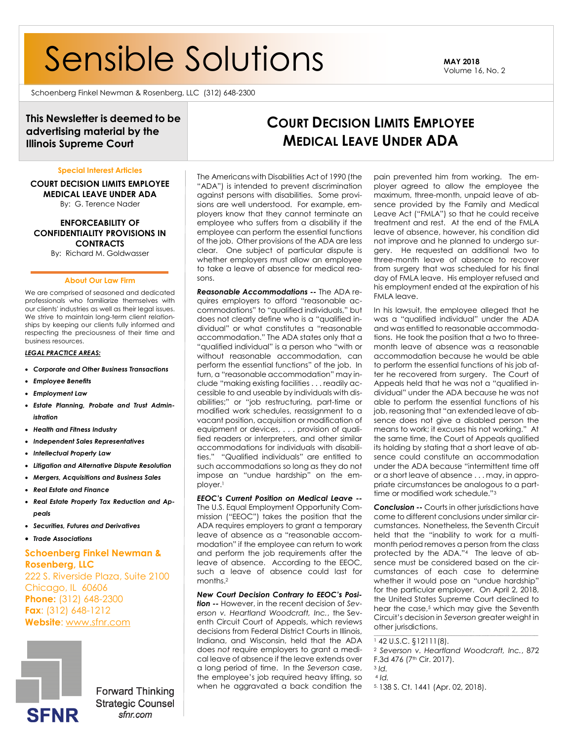# Sensible Solutions **MAY <sup>2018</sup>**

Volume 16, No. 2

Schoenberg Finkel Newman & Rosenberg, LLC (312) 648-2300

# **This Newsletter is deemed to be advertising material by the Illinois Supreme Court**

#### **Special Interest Articles**

**COURT DECISION LIMITS EMPLOYEE MEDICAL LEAVE UNDER ADA** By: G. Terence Nader

# **ENFORCEABILITY OF CONFIDENTIALITY PROVISIONS IN CONTRACTS**

By: Richard M. Goldwasser

#### **About Our Law Firm**

We are comprised of seasoned and dedicated professionals who familiarize themselves with our clients' industries as well as their legal issues. We strive to maintain long-term client relationships by keeping our clients fully informed and respecting the preciousness of their time and business resources.

#### *LEGAL PRACTICE AREAS:*

- *Corporate and Other Business Transactions*
- *Employee Benefits*
- *Employment Law*
- *Estate Planning, Probate and Trust Administration*
- *Health and Fitness Industry*
- *Independent Sales Representatives*
- *Intellectual Property Law*
- *Litigation and Alternative Dispute Resolution*
- *Mergers, Acquisitions and Business Sales*
- *Real Estate and Finance*
- *Real Estate Property Tax Reduction and Appeals*
- *Securities, Futures and Derivatives*
- *Trade Associations*

# **Phone:** (312) 648-2300 **Schoenberg Finkel Newman & Rosenberg, LLC** 222 S. Riverside Plaza, Suite 2100 Chicago, IL 60606 **Fax**: (312) 648-1212 **Website**: [www.sfnr.com](http://www.sfnr.com/)



**Forward Thinking Strategic Counsel** sfnr.com

The Americans with Disabilities Act of 1990 (the "ADA") is intended to prevent discrimination against persons with disabilities. Some provisions are well understood. For example, employers know that they cannot terminate an employee who suffers from a disability if the employee can perform the essential functions of the job. Other provisions of the ADA are less clear. One subject of particular dispute is whether employers must allow an employee to take a leave of absence for medical reasons.

*Reasonable Accommodations --* The ADA requires employers to afford "reasonable accommodations" to "qualified individuals," but does not clearly define who is a "qualified individual" or what constitutes a "reasonable accommodation." The ADA states only that a "qualified individual" is a person who "with or without reasonable accommodation, can perform the essential functions" of the job. In turn, a "reasonable accommodation" may include "making existing facilities . . . readily accessible to and useable by individuals with disabilities;" or "job restructuring, part-time or modified work schedules, reassignment to a vacant position, acquisition or modification of equipment or devices, . . . provision of qualified readers or interpreters, and other similar accommodations for individuals with disabilities." "Qualified individuals" are entitled to such accommodations so long as they do not impose an "undue hardship" on the employer.<sup>1</sup>

*EEOC's Current Position on Medical Leave --* The U.S. Equal Employment Opportunity Commission ("EEOC") takes the position that the ADA requires employers to grant a temporary leave of absence as a "reasonable accommodation" if the employee can return to work and perform the job requirements after the leave of absence. According to the EEOC, such a leave of absence could last for months.<sup>2</sup>

*New Court Decision Contrary to EEOC's Position --* However, in the recent decision of *Severson v. Heartland Woodcraft, Inc.*, the Seventh Circuit Court of Appeals, which reviews decisions from Federal District Courts in Illinois, Indiana, and Wisconsin, held that the ADA does *not* require employers to grant a medical leave of absence if the leave extends over a long period of time. In the *Severson* case, the employee's job required heavy lifting, so when he aggravated a back condition the

pain prevented him from working. The employer agreed to allow the employee the maximum, three-month, unpaid leave of absence provided by the Family and Medical Leave Act ("FMLA") so that he could receive treatment and rest. At the end of the FMLA leave of absence, however, his condition did not improve and he planned to undergo surgery. He requested an additional two to three-month leave of absence to recover from surgery that was scheduled for his final day of FMLA leave. His employer refused and his employment ended at the expiration of his FMLA leave.

**COURT DECISION LIMITS EMPLOYEE MEDICAL LEAVE UNDER ADA**

> In his lawsuit, the employee alleged that he was a "qualified individual" under the ADA and was entitled to reasonable accommodations. He took the position that a two to threemonth leave of absence was a reasonable accommodation because he would be able to perform the essential functions of his job after he recovered from surgery. The Court of Appeals held that he was not a "qualified individual" under the ADA because he was not able to perform the essential functions of his job, reasoning that "an extended leave of absence does not give a disabled person the means to work; it excuses his not working." At the same time, the Court of Appeals qualified its holding by stating that a short leave of absence could constitute an accommodation under the ADA because "intermittent time off or a short leave of absence . . . may, in appropriate circumstances be analogous to a parttime or modified work schedule."<sup>3</sup>

> **Conclusion --** Courts in other jurisdictions have come to different conclusions under similar circumstances. Nonetheless, the Seventh Circuit held that the "inability to work for a multimonth period removes a person from the class protected by the ADA."4 The leave of absence must be considered based on the circumstances of each case to determine whether it would pose an "undue hardship" for the particular employer. On April 2, 2018, the United States Supreme Court declined to hear the case,<sup>5</sup> which may give the Seventh Circuit's decision in *Severson* greater weight in other jurisdictions.

<sup>1</sup> 42 U.S.C. §12111(8).

\_\_\_\_\_\_\_\_\_\_\_\_\_\_\_\_\_\_\_\_\_\_\_\_\_\_\_\_\_\_\_\_\_\_\_\_\_\_\_\_\_\_\_\_\_\_\_\_\_\_\_\_\_\_\_\_\_\_\_\_\_\_\_\_\_\_\_\_\_\_\_\_\_\_\_\_\_\_

- <sup>3</sup> *Id.*
- <sup>4</sup> *Id.*

5. 138 S. Ct. 1441 (Apr. 02, 2018).

<sup>2</sup> *Severson v. Heartland Woodcraft, Inc.*, 872 F.3d 476 (7<sup>th</sup> Cir. 2017).